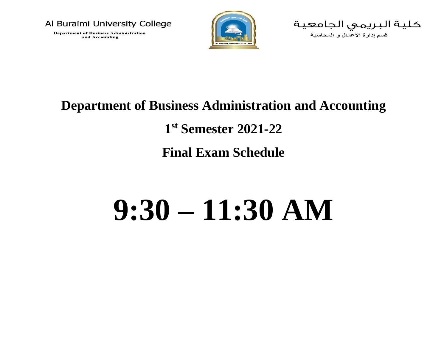

**Department of Business Administration** and Accounting



كليـة البـريـمـي الـجـامـعـيـة<br>سم ردرة تفصل و رفصـية

### **Department of Business Administration and Accounting**

**1 st Semester 2021-22**

**Final Exam Schedule**

# **9:30 – 11:30 AM**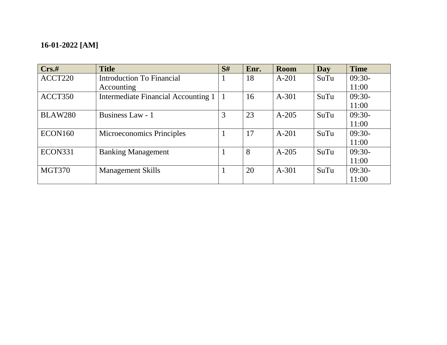### **16-01-2022 [AM]**

| Crs.t          | <b>Title</b>                        | S# | Enr. | <b>Room</b> | Day  | <b>Time</b> |
|----------------|-------------------------------------|----|------|-------------|------|-------------|
| ACCT220        | Introduction To Financial           |    | 18   | $A-201$     | SuTu | $09:30-$    |
|                | Accounting                          |    |      |             |      | 11:00       |
| ACCT350        | Intermediate Financial Accounting 1 |    | 16   | $A-301$     | SuTu | $09:30-$    |
|                |                                     |    |      |             |      | 11:00       |
| <b>BLAW280</b> | Business Law - 1                    | 3  | 23   | $A-205$     | SuTu | $09:30-$    |
|                |                                     |    |      |             |      | 11:00       |
| ECON160        | <b>Microeconomics Principles</b>    |    | 17   | $A - 201$   | SuTu | $09:30-$    |
|                |                                     |    |      |             |      | 11:00       |
| ECON331        | <b>Banking Management</b>           |    | 8    | $A - 205$   | SuTu | $09:30-$    |
|                |                                     |    |      |             |      | 11:00       |
| <b>MGT370</b>  | <b>Management Skills</b>            |    | 20   | $A-301$     | SuTu | $09:30-$    |
|                |                                     |    |      |             |      | 11:00       |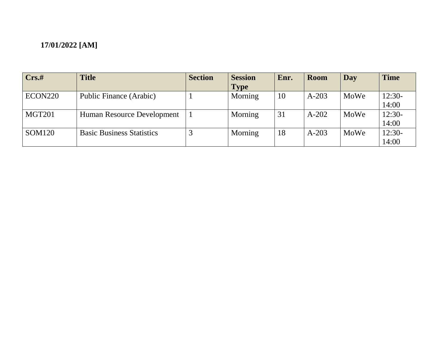| Crs.t         | <b>Title</b>                     | <b>Section</b> | <b>Session</b> | Enr. | <b>Room</b> | Day  | <b>Time</b> |
|---------------|----------------------------------|----------------|----------------|------|-------------|------|-------------|
|               |                                  |                | <b>Type</b>    |      |             |      |             |
| ECON220       | Public Finance (Arabic)          |                | Morning        | 10   | $A-203$     | MoWe | $12:30-$    |
|               |                                  |                |                |      |             |      | 14:00       |
| MGT201        | Human Resource Development       |                | Morning        | 31   | $A-202$     | MoWe | $12:30-$    |
|               |                                  |                |                |      |             |      | 14:00       |
| <b>SOM120</b> | <b>Basic Business Statistics</b> |                | Morning        | 18   | $A-203$     | MoWe | $12:30-$    |
|               |                                  |                |                |      |             |      | 14:00       |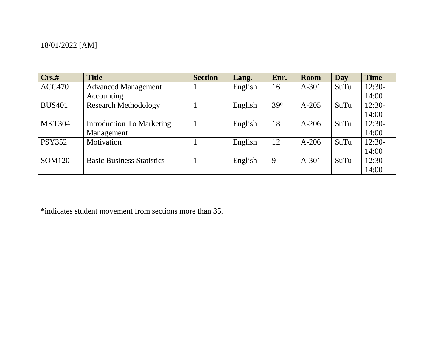| Crs.t         | <b>Title</b>                     | <b>Section</b> | Lang.   | Enr.  | <b>Room</b> | Day  | <b>Time</b> |
|---------------|----------------------------------|----------------|---------|-------|-------------|------|-------------|
| <b>ACC470</b> | <b>Advanced Management</b>       |                | English | 16    | $A-301$     | SuTu | $12:30-$    |
|               | Accounting                       |                |         |       |             |      | 14:00       |
| <b>BUS401</b> | <b>Research Methodology</b>      |                | English | $39*$ | $A-205$     | SuTu | $12:30-$    |
|               |                                  |                |         |       |             |      | 14:00       |
| <b>MKT304</b> | <b>Introduction To Marketing</b> |                | English | 18    | $A-206$     | SuTu | $12:30-$    |
|               | Management                       |                |         |       |             |      | 14:00       |
| <b>PSY352</b> | Motivation                       |                | English | 12    | $A-206$     | SuTu | $12:30-$    |
|               |                                  |                |         |       |             |      | 14:00       |
| <b>SOM120</b> | <b>Basic Business Statistics</b> |                | English | 9     | $A-301$     | SuTu | 12:30-      |
|               |                                  |                |         |       |             |      | 14:00       |

\*indicates student movement from sections more than 35.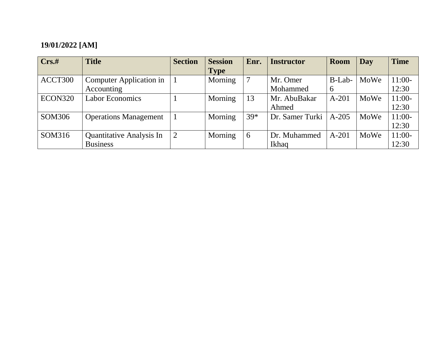| Crs.t   | <b>Title</b>                 | <b>Section</b> | <b>Session</b> | Enr.  | <b>Instructor</b> | Room    | Day  | <b>Time</b> |
|---------|------------------------------|----------------|----------------|-------|-------------------|---------|------|-------------|
|         |                              |                | <b>Type</b>    |       |                   |         |      |             |
| ACCT300 | Computer Application in      |                | Morning        | 7     | Mr. Omer          | B-Lab-  | MoWe | $11:00-$    |
|         | Accounting                   |                |                |       | Mohammed          | 6       |      | 12:30       |
| ECON320 | <b>Labor Economics</b>       |                | Morning        | 13    | Mr. AbuBakar      | $A-201$ | MoWe | $11:00-$    |
|         |                              |                |                |       | Ahmed             |         |      | 12:30       |
| SOM306  | <b>Operations Management</b> |                | Morning        | $39*$ | Dr. Samer Turki   | $A-205$ | MoWe | $11:00-$    |
|         |                              |                |                |       |                   |         |      | 12:30       |
| SOM316  | Quantitative Analysis In     | 2              | Morning        | 6     | Dr. Muhammed      | $A-201$ | MoWe | $11:00-$    |
|         | <b>Business</b>              |                |                |       | Ikhaq             |         |      | 12:30       |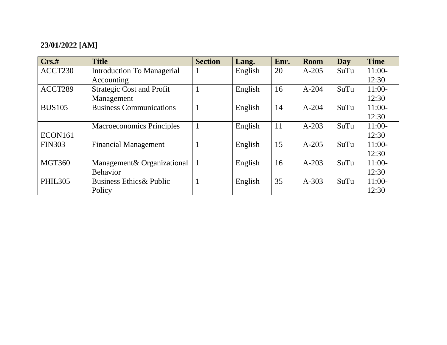| Crs.t          | <b>Title</b>                        | <b>Section</b> | Lang.   | Enr. | <b>Room</b> | Day  | <b>Time</b> |
|----------------|-------------------------------------|----------------|---------|------|-------------|------|-------------|
| ACCT230        | <b>Introduction To Managerial</b>   |                | English | 20   | $A-205$     | SuTu | $11:00-$    |
|                | Accounting                          |                |         |      |             |      | 12:30       |
| ACCT289        | <b>Strategic Cost and Profit</b>    |                | English | 16   | $A-204$     | SuTu | $11:00-$    |
|                | Management                          |                |         |      |             |      | 12:30       |
| <b>BUS105</b>  | <b>Business Communications</b>      |                | English | 14   | $A - 204$   | SuTu | $11:00-$    |
|                |                                     |                |         |      |             |      | 12:30       |
|                | <b>Macroeconomics Principles</b>    |                | English | 11   | $A-203$     | SuTu | $11:00-$    |
| ECON161        |                                     |                |         |      |             |      | 12:30       |
| <b>FIN303</b>  | <b>Financial Management</b>         |                | English | 15   | $A-205$     | SuTu | $11:00-$    |
|                |                                     |                |         |      |             |      | 12:30       |
| <b>MGT360</b>  | Management & Organizational         |                | English | 16   | $A-203$     | SuTu | $11:00-$    |
|                | <b>Behavior</b>                     |                |         |      |             |      | 12:30       |
| <b>PHIL305</b> | <b>Business Ethics &amp; Public</b> |                | English | 35   | $A-303$     | SuTu | $11:00-$    |
|                | Policy                              |                |         |      |             |      | 12:30       |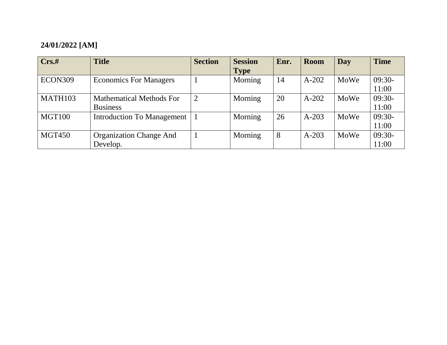| $Crs.$ #      | <b>Title</b>                      | <b>Section</b> | <b>Session</b> | Enr. | <b>Room</b> | Day  | <b>Time</b> |
|---------------|-----------------------------------|----------------|----------------|------|-------------|------|-------------|
|               |                                   |                | <b>Type</b>    |      |             |      |             |
| ECON309       | <b>Economics For Managers</b>     |                | Morning        | 14   | $A-202$     | MoWe | $09:30-$    |
|               |                                   |                |                |      |             |      | 11:00       |
| MATH103       | <b>Mathematical Methods For</b>   | $\overline{2}$ | Morning        | 20   | $A-202$     | MoWe | $09:30-$    |
|               | <b>Business</b>                   |                |                |      |             |      | 11:00       |
| MGT100        | <b>Introduction To Management</b> |                | Morning        | 26   | $A-203$     | MoWe | $09:30-$    |
|               |                                   |                |                |      |             |      | 11:00       |
| <b>MGT450</b> | <b>Organization Change And</b>    |                | Morning        | 8    | $A-203$     | MoWe | $09:30-$    |
|               | Develop.                          |                |                |      |             |      | 11:00       |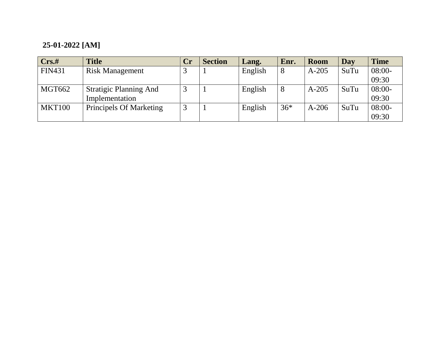### **25-01-2022 [AM]**

| Crs.t         | <b>Title</b>                  | Cr | <b>Section</b> | Lang.   | Enr.  | <b>Room</b> | Day  | <b>Time</b> |
|---------------|-------------------------------|----|----------------|---------|-------|-------------|------|-------------|
| <b>FIN431</b> | <b>Risk Management</b>        |    |                | English | 8     | $A-205$     | SuTu | $08:00-$    |
|               |                               |    |                |         |       |             |      | 09:30       |
| MGT662        | <b>Stratigic Planning And</b> | 3  |                | English | 8     | $A-205$     | SuTu | $08:00-$    |
|               | Implementation                |    |                |         |       |             |      | 09:30       |
| <b>MKT100</b> | Principels Of Marketing       | 3  |                | English | $36*$ | $A-206$     | SuTu | $08:00-$    |
|               |                               |    |                |         |       |             |      | 09:30       |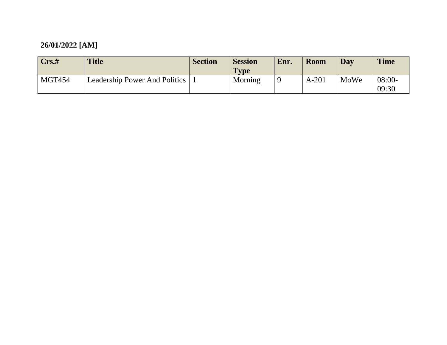| Crs.t         | <b>Title</b>                  | <b>Section</b> | <b>Session</b><br><b>Type</b> | Enr.     | <b>Room</b> | Day  | <b>Time</b>       |
|---------------|-------------------------------|----------------|-------------------------------|----------|-------------|------|-------------------|
| <b>MGT454</b> | Leadership Power And Politics |                | Morning                       | $\Omega$ | A-201       | MoWe | $08:00-$<br>09:30 |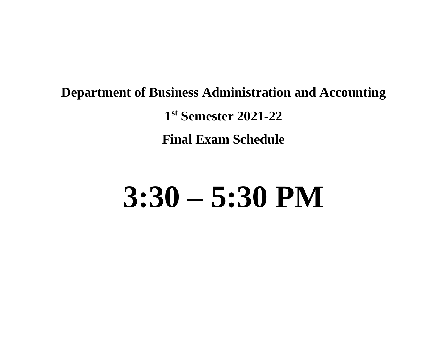### **Department of Business Administration and Accounting 1 st Semester 2021-22 Final Exam Schedule**

## **3:30 – 5:30 PM**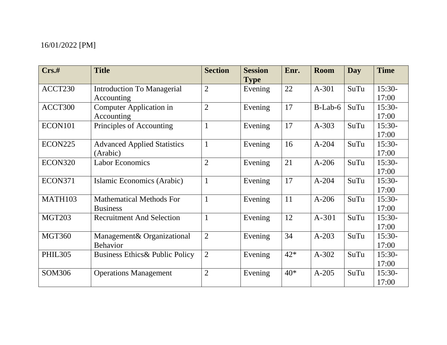| $Crs.$ #       | <b>Title</b>                              | <b>Section</b> | <b>Session</b><br><b>Type</b> | Enr.  | <b>Room</b> | <b>Day</b> | <b>Time</b> |
|----------------|-------------------------------------------|----------------|-------------------------------|-------|-------------|------------|-------------|
| ACCT230        | <b>Introduction To Managerial</b>         | $\mathfrak{2}$ | Evening                       | 22    | $A-301$     | SuTu       | $15:30-$    |
|                | Accounting                                |                |                               |       |             |            | 17:00       |
| ACCT300        | Computer Application in                   | $\overline{2}$ | Evening                       | 17    | $B-Lab-6$   | SuTu       | 15:30-      |
|                | Accounting                                |                |                               |       |             |            | 17:00       |
| ECON101        | Principles of Accounting                  | $\mathbf{1}$   | Evening                       | 17    | $A-303$     | SuTu       | $15:30-$    |
|                |                                           |                |                               |       |             |            | 17:00       |
| <b>ECON225</b> | <b>Advanced Applied Statistics</b>        | $\mathbf{1}$   | Evening                       | 16    | $A-204$     | SuTu       | $15:30-$    |
|                | (Arabic)                                  |                |                               |       |             |            | 17:00       |
| ECON320        | <b>Labor Economics</b>                    | $\overline{2}$ | Evening                       | 21    | $A-206$     | SuTu       | 15:30-      |
|                |                                           |                |                               |       |             |            | 17:00       |
| <b>ECON371</b> | Islamic Economics (Arabic)                | $\mathbf{1}$   | Evening                       | 17    | $A-204$     | SuTu       | 15:30-      |
|                |                                           |                |                               |       |             |            | 17:00       |
| MATH103        | <b>Mathematical Methods For</b>           | $\mathbf{1}$   | Evening                       | 11    | $A-206$     | SuTu       | $15:30-$    |
|                | <b>Business</b>                           |                |                               |       |             |            | 17:00       |
| <b>MGT203</b>  | <b>Recruitment And Selection</b>          | $\mathbf{1}$   | Evening                       | 12    | $A-301$     | SuTu       | $15:30-$    |
|                |                                           |                |                               |       |             |            | 17:00       |
| <b>MGT360</b>  | Management& Organizational                | $\overline{2}$ | Evening                       | 34    | $A-203$     | SuTu       | $15:30-$    |
|                | <b>Behavior</b>                           |                |                               |       |             |            | 17:00       |
| <b>PHIL305</b> | <b>Business Ethics&amp; Public Policy</b> | $\overline{2}$ | Evening                       | $42*$ | $A-302$     | SuTu       | 15:30-      |
|                |                                           |                |                               |       |             |            | 17:00       |
| SOM306         | <b>Operations Management</b>              | $\overline{2}$ | Evening                       | $40*$ | $A-205$     | SuTu       | $15:30-$    |
|                |                                           |                |                               |       |             |            | 17:00       |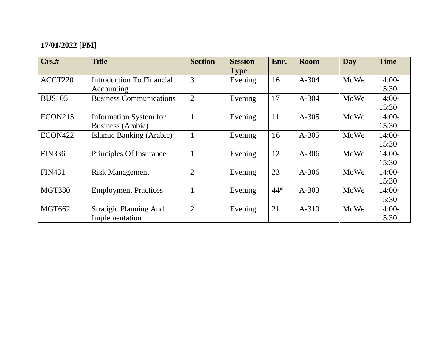| $Crs.$ #       | <b>Title</b>                   | <b>Section</b> | <b>Session</b>         | Enr.  | Room      | Day  | <b>Time</b> |
|----------------|--------------------------------|----------------|------------------------|-------|-----------|------|-------------|
| ACCT220        | Introduction To Financial      | 3              | <b>Type</b><br>Evening | 16    | $A - 304$ | MoWe | $14:00-$    |
|                | Accounting                     |                |                        |       |           |      | 15:30       |
| <b>BUS105</b>  | <b>Business Communications</b> | $\overline{2}$ | Evening                | 17    | A-304     | MoWe | $14:00-$    |
|                |                                |                |                        |       |           |      | 15:30       |
| <b>ECON215</b> | <b>Information System for</b>  | $\mathbf{1}$   | Evening                | 11    | $A-305$   | MoWe | $14:00-$    |
|                | Business (Arabic)              |                |                        |       |           |      | 15:30       |
| ECON422        | Islamic Banking (Arabic)       | $\mathbf{1}$   | Evening                | 16    | $A-305$   | MoWe | $14:00-$    |
|                |                                |                |                        |       |           |      | 15:30       |
| <b>FIN336</b>  | Principles Of Insurance        | $\mathbf{1}$   | Evening                | 12    | $A-306$   | MoWe | $14:00-$    |
|                |                                |                |                        |       |           |      | 15:30       |
| <b>FIN431</b>  | <b>Risk Management</b>         | $\overline{2}$ | Evening                | 23    | $A-306$   | MoWe | $14:00-$    |
|                |                                |                |                        |       |           |      | 15:30       |
| <b>MGT380</b>  | <b>Employment Practices</b>    |                | Evening                | $44*$ | $A-303$   | MoWe | $14:00-$    |
|                |                                |                |                        |       |           |      | 15:30       |
| <b>MGT662</b>  | <b>Stratigic Planning And</b>  | $\overline{2}$ | Evening                | 21    | $A-310$   | MoWe | $14:00-$    |
|                | Implementation                 |                |                        |       |           |      | 15:30       |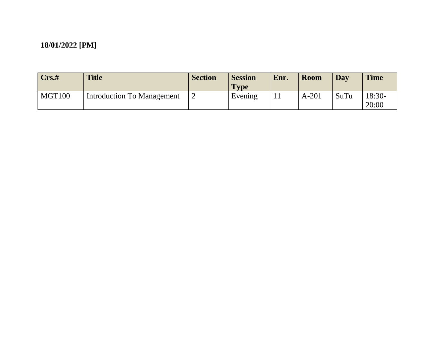| Crs.#  | <b>Title</b>                      | <b>Section</b> | <b>Session</b><br><b>Type</b> | Enr. | Room    | <b>Day</b> | <b>Time</b>       |
|--------|-----------------------------------|----------------|-------------------------------|------|---------|------------|-------------------|
| MGT100 | <b>Introduction To Management</b> | ∠              | Evening                       |      | $A-201$ | SuTu       | $18:30-$<br>20:00 |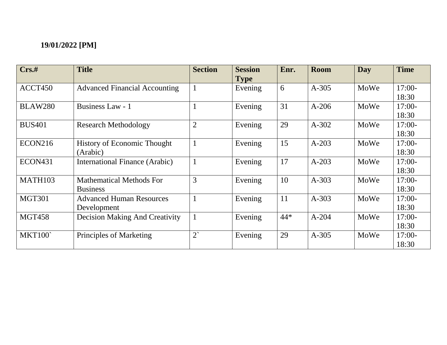| Crs.t               | <b>Title</b>                                       | <b>Section</b> | <b>Session</b><br><b>Type</b> | Enr. | <b>Room</b> | Day  | <b>Time</b>       |
|---------------------|----------------------------------------------------|----------------|-------------------------------|------|-------------|------|-------------------|
| ACCT450             | <b>Advanced Financial Accounting</b>               |                | Evening                       | 6    | $A-305$     | MoWe | $17:00-$<br>18:30 |
| <b>BLAW280</b>      | Business Law - 1                                   |                | Evening                       | 31   | $A-206$     | MoWe | $17:00-$<br>18:30 |
| <b>BUS401</b>       | <b>Research Methodology</b>                        | $\overline{2}$ | Evening                       | 29   | $A-302$     | MoWe | $17:00-$<br>18:30 |
| <b>ECON216</b>      | <b>History of Economic Thought</b><br>(Arabic)     | $\perp$        | Evening                       | 15   | $A-203$     | MoWe | $17:00-$<br>18:30 |
| ECON <sub>431</sub> | International Finance (Arabic)                     |                | Evening                       | 17   | $A-203$     | MoWe | 17:00-<br>18:30   |
| MATH103             | <b>Mathematical Methods For</b><br><b>Business</b> | 3              | Evening                       | 10   | $A - 303$   | MoWe | $17:00-$<br>18:30 |
| <b>MGT301</b>       | <b>Advanced Human Resources</b><br>Development     |                | Evening                       | 11   | $A-303$     | MoWe | $17:00-$<br>18:30 |
| <b>MGT458</b>       | <b>Decision Making And Creativity</b>              | $\mathbf{1}$   | Evening                       | 44*  | $A - 204$   | MoWe | $17:00-$<br>18:30 |
| <b>MKT100</b>       | Principles of Marketing                            | $2^{\circ}$    | Evening                       | 29   | $A-305$     | MoWe | $17:00-$<br>18:30 |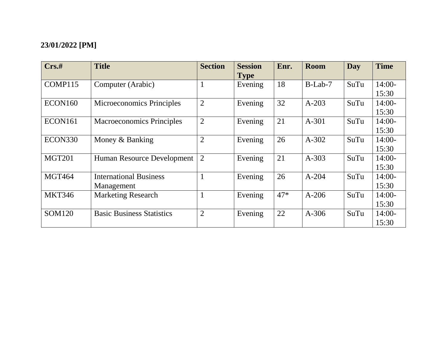| Crs.t         | <b>Title</b>                     | <b>Section</b> | <b>Session</b><br><b>Type</b> | Enr.  | <b>Room</b> | Day  | <b>Time</b> |
|---------------|----------------------------------|----------------|-------------------------------|-------|-------------|------|-------------|
| COMP115       | Computer (Arabic)                |                | Evening                       | 18    | $B-Lab-7$   | SuTu | $14:00-$    |
|               |                                  |                |                               |       |             |      | 15:30       |
| ECON160       | <b>Microeconomics Principles</b> | $\overline{2}$ | Evening                       | 32    | $A-203$     | SuTu | $14:00-$    |
|               |                                  |                |                               |       |             |      | 15:30       |
| ECON161       | <b>Macroeconomics Principles</b> | $\overline{2}$ | Evening                       | 21    | $A-301$     | SuTu | $14:00-$    |
|               |                                  |                |                               |       |             |      | 15:30       |
| ECON330       | Money & Banking                  | $\overline{2}$ | Evening                       | 26    | $A-302$     | SuTu | $14:00-$    |
|               |                                  |                |                               |       |             |      | 15:30       |
| <b>MGT201</b> | Human Resource Development       | 2              | Evening                       | 21    | $A - 303$   | SuTu | $14:00-$    |
|               |                                  |                |                               |       |             |      | 15:30       |
| <b>MGT464</b> | <b>International Business</b>    |                | Evening                       | 26    | $A - 204$   | SuTu | $14:00-$    |
|               | Management                       |                |                               |       |             |      | 15:30       |
| <b>MKT346</b> | <b>Marketing Research</b>        | $\mathbf{1}$   | Evening                       | $47*$ | $A-206$     | SuTu | $14:00-$    |
|               |                                  |                |                               |       |             |      | 15:30       |
| SOM120        | <b>Basic Business Statistics</b> | $\overline{2}$ | Evening                       | 22    | $A-306$     | SuTu | $14:00-$    |
|               |                                  |                |                               |       |             |      | 15:30       |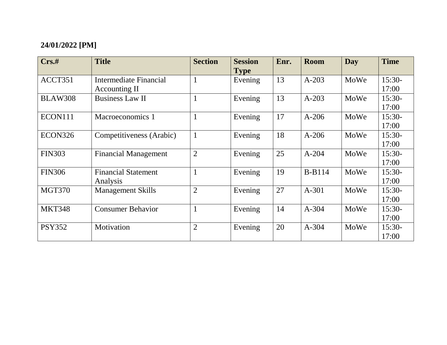| Crs.t          | <b>Title</b>                            | <b>Section</b> | <b>Session</b><br><b>Type</b> | Enr. | <b>Room</b>   | Day  | <b>Time</b>       |
|----------------|-----------------------------------------|----------------|-------------------------------|------|---------------|------|-------------------|
| ACCT351        | Intermediate Financial<br>Accounting II | $\mathbf{1}$   | Evening                       | 13   | $A-203$       | MoWe | $15:30-$<br>17:00 |
| <b>BLAW308</b> | <b>Business Law II</b>                  | 1              | Evening                       | 13   | $A-203$       | MoWe | $15:30-$<br>17:00 |
| ECON111        | Macroeconomics 1                        | 1              | Evening                       | 17   | $A-206$       | MoWe | 15:30-<br>17:00   |
| ECON326        | Competitiveness (Arabic)                | $\mathbf{1}$   | Evening                       | 18   | $A-206$       | MoWe | $15:30-$<br>17:00 |
| <b>FIN303</b>  | <b>Financial Management</b>             | $\overline{2}$ | Evening                       | 25   | $A - 204$     | MoWe | $15:30-$<br>17:00 |
| <b>FIN306</b>  | <b>Financial Statement</b><br>Analysis  | 1              | Evening                       | 19   | <b>B-B114</b> | MoWe | $15:30-$<br>17:00 |
| <b>MGT370</b>  | <b>Management Skills</b>                | $\overline{2}$ | Evening                       | 27   | $A - 301$     | MoWe | $15:30-$<br>17:00 |
| <b>MKT348</b>  | <b>Consumer Behavior</b>                | $\mathbf{1}$   | Evening                       | 14   | $A - 304$     | MoWe | $15:30-$<br>17:00 |
| <b>PSY352</b>  | Motivation                              | $\overline{2}$ | Evening                       | 20   | $A - 304$     | MoWe | 15:30-<br>17:00   |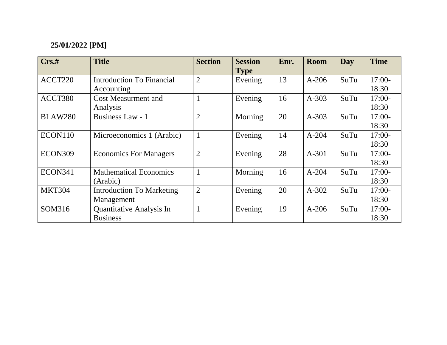| $Crs.$ #       | <b>Title</b>                     | <b>Section</b> | <b>Session</b> | Enr. | Room      | Day  | <b>Time</b> |
|----------------|----------------------------------|----------------|----------------|------|-----------|------|-------------|
|                |                                  |                | <b>Type</b>    |      |           |      |             |
| ACCT220        | Introduction To Financial        | $\overline{2}$ | Evening        | 13   | $A-206$   | SuTu | $17:00-$    |
|                | Accounting                       |                |                |      |           |      | 18:30       |
| ACCT380        | <b>Cost Measurment and</b>       | $\mathbf{1}$   | Evening        | 16   | $A-303$   | SuTu | $17:00-$    |
|                | Analysis                         |                |                |      |           |      | 18:30       |
| <b>BLAW280</b> | Business Law - 1                 | $\overline{2}$ | Morning        | 20   | $A-303$   | SuTu | $17:00-$    |
|                |                                  |                |                |      |           |      | 18:30       |
| ECON110        | Microeconomics 1 (Arabic)        | $\mathbf{1}$   | Evening        | 14   | $A-204$   | SuTu | $17:00-$    |
|                |                                  |                |                |      |           |      | 18:30       |
| ECON309        | <b>Economics For Managers</b>    | $\overline{2}$ | Evening        | 28   | $A-301$   | SuTu | $17:00-$    |
|                |                                  |                |                |      |           |      | 18:30       |
| ECON341        | <b>Mathematical Economics</b>    | $\mathbf{1}$   | Morning        | 16   | $A - 204$ | SuTu | $17:00-$    |
|                | (Arabic)                         |                |                |      |           |      | 18:30       |
| <b>MKT304</b>  | <b>Introduction To Marketing</b> | $\overline{2}$ | Evening        | 20   | $A-302$   | SuTu | $17:00-$    |
|                | Management                       |                |                |      |           |      | 18:30       |
| SOM316         | Quantitative Analysis In         | $\mathbf{1}$   | Evening        | 19   | $A-206$   | SuTu | $17:00-$    |
|                | <b>Business</b>                  |                |                |      |           |      | 18:30       |